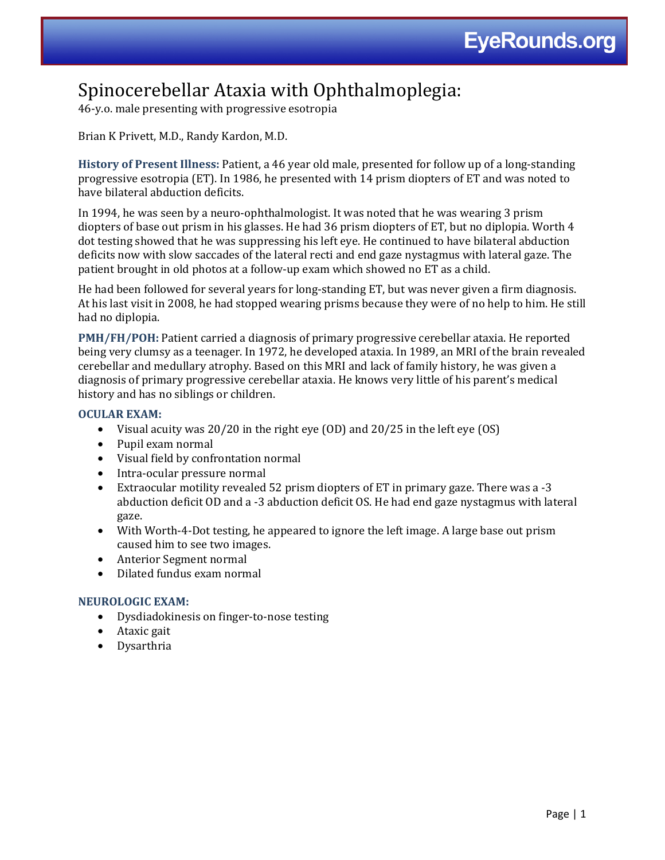# Spinocerebellar Ataxia with Ophthalmoplegia:

46-y.o. male presenting with progressive esotropia

## Brian K Privett, M.D., Randy Kardon, M.D.

**History of Present Illness:** Patient, a 46 year old male, presented for follow up of a long-standing progressive esotropia (ET). In 1986, he presented with 14 prism diopters of ET and was noted to have bilateral abduction deficits.

In 1994, he was seen by a neuro-ophthalmologist. It was noted that he was wearing 3 prism diopters of base out prism in his glasses. He had 36 prism diopters of ET, but no diplopia. Worth 4 dot testing showed that he was suppressing his left eye. He continued to have bilateral abduction deficits now with slow saccades of the lateral recti and end gaze nystagmus with lateral gaze. The patient brought in old photos at a follow-up exam which showed no ET as a child.

He had been followed for several years for long-standing ET, but was never given a firm diagnosis. At his last visit in 2008, he had stopped wearing prisms because they were of no help to him. He still had no diplopia.

**PMH/FH/POH:** Patient carried a diagnosis of primary progressive cerebellar ataxia. He reported being very clumsy as a teenager. In 1972, he developed ataxia. In 1989, an MRI of the brain revealed cerebellar and medullary atrophy. Based on this MRI and lack of family history, he was given a diagnosis of primary progressive cerebellar ataxia. He knows very little of his parent's medical history and has no siblings or children.

### **OCULAR EXAM:**

- Visual acuity was 20/20 in the right eye (OD) and 20/25 in the left eye (OS)
- Pupil exam normal
- Visual field by confrontation normal
- Intra-ocular pressure normal
- Extraocular motility revealed 52 prism diopters of ET in primary gaze. There was a -3 abduction deficit OD and a -3 abduction deficit OS. He had end gaze nystagmus with lateral gaze.
- With Worth-4-Dot testing, he appeared to ignore the left image. A large base out prism caused him to see two images.
- Anterior Segment normal
- Dilated fundus exam normal

### **NEUROLOGIC EXAM:**

- Dysdiadokinesis on finger-to-nose testing
- Ataxic gait
- Dysarthria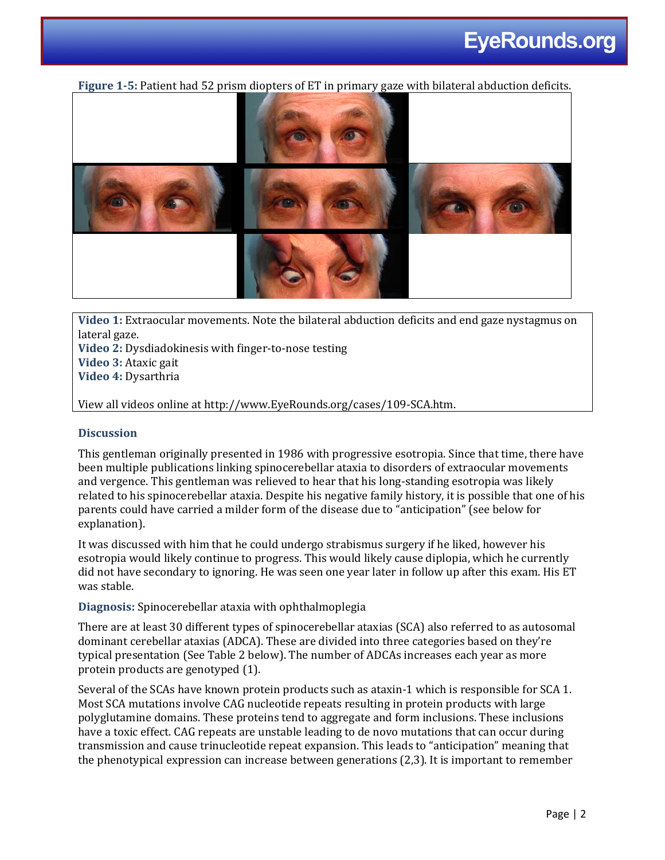

**Figure 1-5:** Patient had 52 prism diopters of ET in primary gaze with bilateral abduction deficits.

**Video 1:** Extraocular movements. Note the bilateral abduction deficits and end gaze nystagmus on lateral gaze.

**Video 2:** Dysdiadokinesis with finger-to-nose testing **Video 3:** Ataxic gait

**Video 4:** Dysarthria

View all videos online at http://www.EyeRounds.org/cases/109-SCA.htm.

## **Discussion**

This gentleman originally presented in 1986 with progressive esotropia. Since that time, there have been multiple publications linking spinocerebellar ataxia to disorders of extraocular movements and vergence. This gentleman was relieved to hear that his long-standing esotropia was likely related to his spinocerebellar ataxia. Despite his negative family history, it is possible that one of his parents could have carried a milder form of the disease due to "anticipation" (see below for explanation).

It was discussed with him that he could undergo strabismus surgery if he liked, however his esotropia would likely continue to progress. This would likely cause diplopia, which he currently did not have secondary to ignoring. He was seen one year later in follow up after this exam. His ET was stable.

**Diagnosis:** Spinocerebellar ataxia with ophthalmoplegia

There are at least 30 different types of spinocerebellar ataxias (SCA) also referred to as autosomal dominant cerebellar ataxias (ADCA). These are divided into three categories based on they're typical presentation (See Table 2 below). The number of ADCAs increases each year as more protein products are genotyped (1).

Several of the SCAs have known protein products such as ataxin-1 which is responsible for SCA 1. Most SCA mutations involve CAG nucleotide repeats resulting in protein products with large polyglutamine domains. These proteins tend to aggregate and form inclusions. These inclusions have a toxic effect. CAG repeats are unstable leading to de novo mutations that can occur during transmission and cause trinucleotide repeat expansion. This leads to "anticipation" meaning that the phenotypical expression can increase between generations (2,3). It is important to remember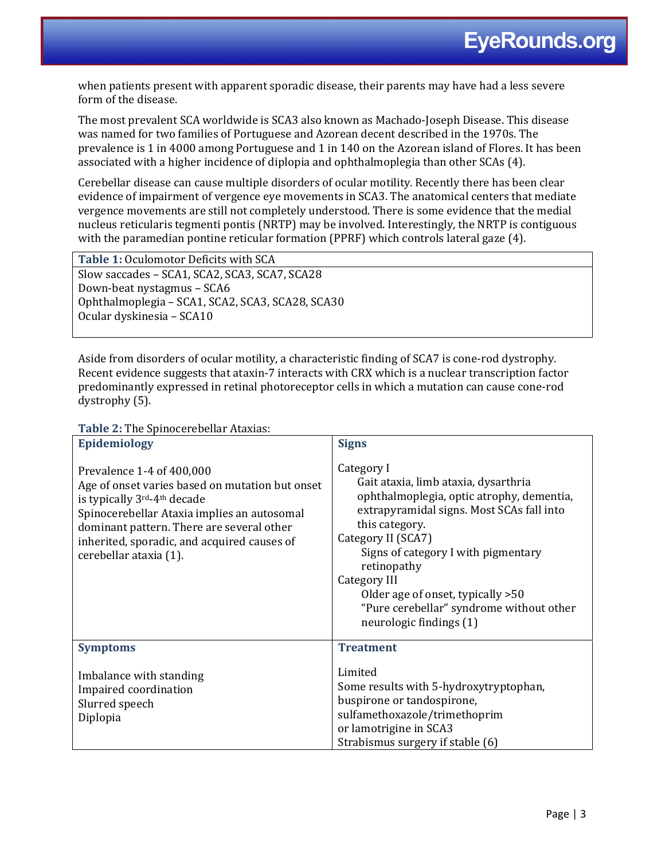when patients present with apparent sporadic disease, their parents may have had a less severe form of the disease.

The most prevalent SCA worldwide is SCA3 also known as Machado-Joseph Disease. This disease was named for two families of Portuguese and Azorean decent described in the 1970s. The prevalence is 1 in 4000 among Portuguese and 1 in 140 on the Azorean island of Flores. It has been associated with a higher incidence of diplopia and ophthalmoplegia than other SCAs (4).

Cerebellar disease can cause multiple disorders of ocular motility. Recently there has been clear evidence of impairment of vergence eye movements in SCA3. The anatomical centers that mediate vergence movements are still not completely understood. There is some evidence that the medial nucleus reticularis tegmenti pontis (NRTP) may be involved. Interestingly, the NRTP is contiguous with the paramedian pontine reticular formation (PPRF) which controls lateral gaze (4).

**Table 1:** Oculomotor Deficits with SCA Slow saccades – SCA1, SCA2, SCA3, SCA7, SCA28 Down-beat nystagmus – SCA6 Ophthalmoplegia – SCA1, SCA2, SCA3, SCA28, SCA30 Ocular dyskinesia – SCA10

Aside from disorders of ocular motility, a characteristic finding of SCA7 is cone-rod dystrophy. Recent evidence suggests that ataxin-7 interacts with CRX which is a nuclear transcription factor predominantly expressed in retinal photoreceptor cells in which a mutation can cause cone-rod dystrophy (5).

**Table 2:** The Spinocerebellar Ataxias:

| $\mathbf{r}$ and $\mathbf{r}$ and opinocence of $\mathbf{r}$ and $\mathbf{r}$ and $\mathbf{r}$<br>Epidemiology                                                                                                                                                                   | <b>Signs</b>                                                                                                                                                                                                                                                                                                                                                            |
|----------------------------------------------------------------------------------------------------------------------------------------------------------------------------------------------------------------------------------------------------------------------------------|-------------------------------------------------------------------------------------------------------------------------------------------------------------------------------------------------------------------------------------------------------------------------------------------------------------------------------------------------------------------------|
| Prevalence 1-4 of 400,000<br>Age of onset varies based on mutation but onset<br>is typically 3rd-4th decade<br>Spinocerebellar Ataxia implies an autosomal<br>dominant pattern. There are several other<br>inherited, sporadic, and acquired causes of<br>cerebellar ataxia (1). | Category I<br>Gait ataxia, limb ataxia, dysarthria<br>ophthalmoplegia, optic atrophy, dementia,<br>extrapyramidal signs. Most SCAs fall into<br>this category.<br>Category II (SCA7)<br>Signs of category I with pigmentary<br>retinopathy<br>Category III<br>Older age of onset, typically > 50<br>"Pure cerebellar" syndrome without other<br>neurologic findings (1) |
| <b>Symptoms</b>                                                                                                                                                                                                                                                                  | <b>Treatment</b>                                                                                                                                                                                                                                                                                                                                                        |
| Imbalance with standing<br>Impaired coordination<br>Slurred speech<br>Diplopia                                                                                                                                                                                                   | Limited<br>Some results with 5-hydroxytryptophan,<br>buspirone or tandospirone,<br>sulfamethoxazole/trimethoprim<br>or lamotrigine in SCA3<br>Strabismus surgery if stable (6)                                                                                                                                                                                          |